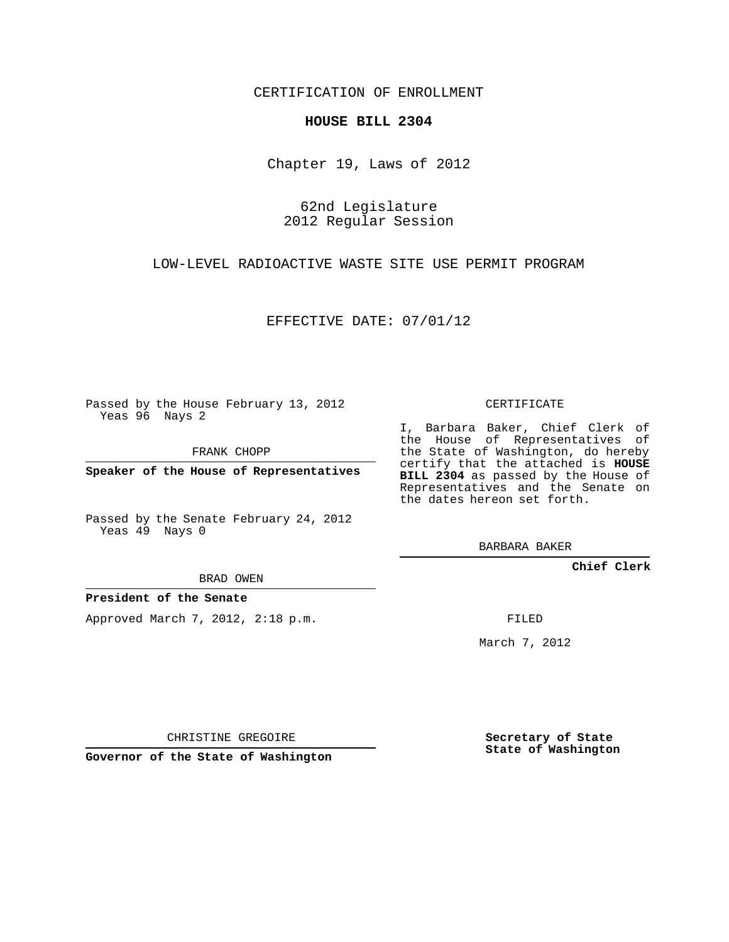CERTIFICATION OF ENROLLMENT

## **HOUSE BILL 2304**

Chapter 19, Laws of 2012

62nd Legislature 2012 Regular Session

LOW-LEVEL RADIOACTIVE WASTE SITE USE PERMIT PROGRAM

EFFECTIVE DATE: 07/01/12

Passed by the House February 13, 2012 Yeas 96 Nays 2

FRANK CHOPP

**Speaker of the House of Representatives**

Passed by the Senate February 24, 2012 Yeas 49 Nays 0

BRAD OWEN

## **President of the Senate**

Approved March 7, 2012, 2:18 p.m.

CERTIFICATE

I, Barbara Baker, Chief Clerk of the House of Representatives of the State of Washington, do hereby certify that the attached is **HOUSE BILL 2304** as passed by the House of Representatives and the Senate on the dates hereon set forth.

BARBARA BAKER

**Chief Clerk**

FILED

March 7, 2012

CHRISTINE GREGOIRE

**Governor of the State of Washington**

**Secretary of State State of Washington**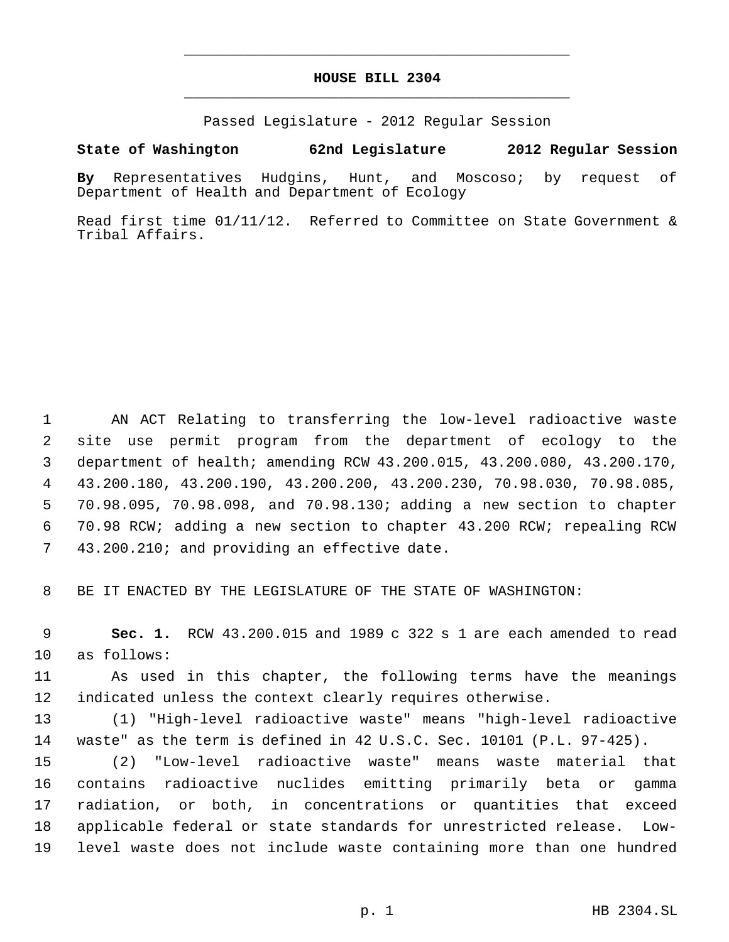## **HOUSE BILL 2304** \_\_\_\_\_\_\_\_\_\_\_\_\_\_\_\_\_\_\_\_\_\_\_\_\_\_\_\_\_\_\_\_\_\_\_\_\_\_\_\_\_\_\_\_\_

\_\_\_\_\_\_\_\_\_\_\_\_\_\_\_\_\_\_\_\_\_\_\_\_\_\_\_\_\_\_\_\_\_\_\_\_\_\_\_\_\_\_\_\_\_

Passed Legislature - 2012 Regular Session

## **State of Washington 62nd Legislature 2012 Regular Session**

**By** Representatives Hudgins, Hunt, and Moscoso; by request of Department of Health and Department of Ecology

Read first time 01/11/12. Referred to Committee on State Government & Tribal Affairs.

 AN ACT Relating to transferring the low-level radioactive waste site use permit program from the department of ecology to the department of health; amending RCW 43.200.015, 43.200.080, 43.200.170, 43.200.180, 43.200.190, 43.200.200, 43.200.230, 70.98.030, 70.98.085, 70.98.095, 70.98.098, and 70.98.130; adding a new section to chapter 70.98 RCW; adding a new section to chapter 43.200 RCW; repealing RCW 43.200.210; and providing an effective date.

BE IT ENACTED BY THE LEGISLATURE OF THE STATE OF WASHINGTON:

 **Sec. 1.** RCW 43.200.015 and 1989 c 322 s 1 are each amended to read as follows:

 As used in this chapter, the following terms have the meanings indicated unless the context clearly requires otherwise.

 (1) "High-level radioactive waste" means "high-level radioactive waste" as the term is defined in 42 U.S.C. Sec. 10101 (P.L. 97-425).

 (2) "Low-level radioactive waste" means waste material that contains radioactive nuclides emitting primarily beta or gamma radiation, or both, in concentrations or quantities that exceed applicable federal or state standards for unrestricted release. Low-level waste does not include waste containing more than one hundred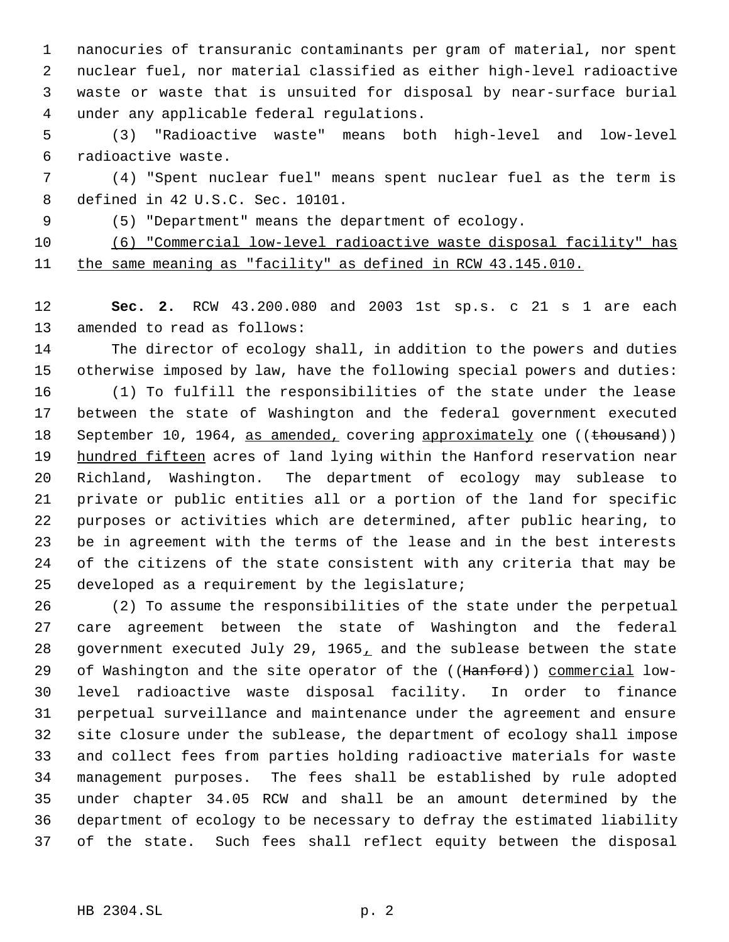nanocuries of transuranic contaminants per gram of material, nor spent nuclear fuel, nor material classified as either high-level radioactive waste or waste that is unsuited for disposal by near-surface burial under any applicable federal regulations.

 (3) "Radioactive waste" means both high-level and low-level radioactive waste.

 (4) "Spent nuclear fuel" means spent nuclear fuel as the term is defined in 42 U.S.C. Sec. 10101.

(5) "Department" means the department of ecology.

(6) "Commercial low-level radioactive waste disposal facility" has

11 the same meaning as "facility" as defined in RCW 43.145.010.

 **Sec. 2.** RCW 43.200.080 and 2003 1st sp.s. c 21 s 1 are each amended to read as follows:

 The director of ecology shall, in addition to the powers and duties otherwise imposed by law, have the following special powers and duties:

 (1) To fulfill the responsibilities of the state under the lease between the state of Washington and the federal government executed 18 September 10, 1964, as amended, covering approximately one ((thousand)) 19 hundred fifteen acres of land lying within the Hanford reservation near Richland, Washington. The department of ecology may sublease to private or public entities all or a portion of the land for specific purposes or activities which are determined, after public hearing, to be in agreement with the terms of the lease and in the best interests of the citizens of the state consistent with any criteria that may be developed as a requirement by the legislature;

 (2) To assume the responsibilities of the state under the perpetual care agreement between the state of Washington and the federal government executed July 29, 1965, and the sublease between the state 29 of Washington and the site operator of the ((Hanford)) commercial low- level radioactive waste disposal facility. In order to finance perpetual surveillance and maintenance under the agreement and ensure site closure under the sublease, the department of ecology shall impose and collect fees from parties holding radioactive materials for waste management purposes. The fees shall be established by rule adopted under chapter 34.05 RCW and shall be an amount determined by the department of ecology to be necessary to defray the estimated liability of the state. Such fees shall reflect equity between the disposal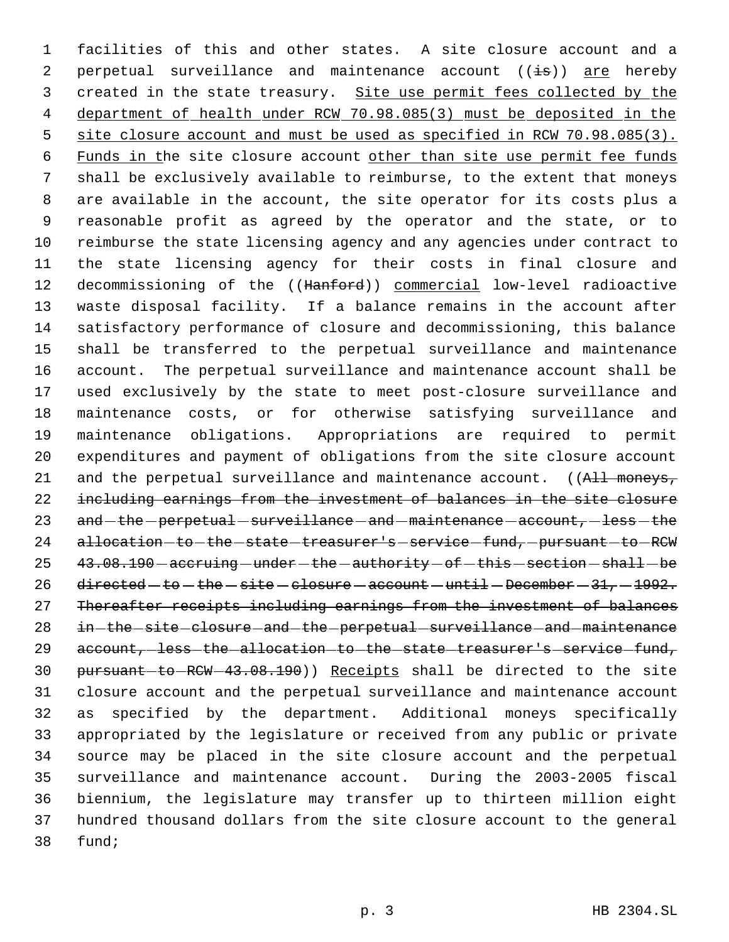facilities of this and other states. A site closure account and a 2 perpetual surveillance and maintenance account  $((i\texttt{s}))$  are hereby 3 created in the state treasury. Site use permit fees collected by the department of health under RCW 70.98.085(3) must be deposited in the 5 site closure account and must be used as specified in RCW 70.98.085(3). 6 Funds in the site closure account other than site use permit fee funds shall be exclusively available to reimburse, to the extent that moneys are available in the account, the site operator for its costs plus a reasonable profit as agreed by the operator and the state, or to reimburse the state licensing agency and any agencies under contract to the state licensing agency for their costs in final closure and 12 decommissioning of the ((Hanford)) commercial low-level radioactive waste disposal facility. If a balance remains in the account after satisfactory performance of closure and decommissioning, this balance shall be transferred to the perpetual surveillance and maintenance account. The perpetual surveillance and maintenance account shall be used exclusively by the state to meet post-closure surveillance and maintenance costs, or for otherwise satisfying surveillance and maintenance obligations. Appropriations are required to permit expenditures and payment of obligations from the site closure account 21 and the perpetual surveillance and maintenance account. ((All moneys, including earnings from the investment of balances in the site closure 23 and -the -perpetual -surveillance - and -maintenance -account, -less -the 24 allocation-to-the-state-treasurer's-service-fund, pursuant-to-RCW  $43.08.190$   $-$  accruing  $-$  under  $-$  the  $-$  authority  $-$  of  $-$  this  $-$  section  $-$  shall  $-$  be 26 directed  $-$  to  $-$  the  $-$  site  $-$  closure  $-$  account  $-$  until  $-$  December  $-$  31,  $-$  1992. Thereafter receipts including earnings from the investment of balances 28 in-the-site-closure-and-the-perpetual-surveillance-and-maintenance 29 account, less the allocation to the state treasurer's service fund, 30 pursuant-to-RCW-43.08.190)) Receipts shall be directed to the site closure account and the perpetual surveillance and maintenance account as specified by the department. Additional moneys specifically appropriated by the legislature or received from any public or private source may be placed in the site closure account and the perpetual surveillance and maintenance account. During the 2003-2005 fiscal biennium, the legislature may transfer up to thirteen million eight hundred thousand dollars from the site closure account to the general fund;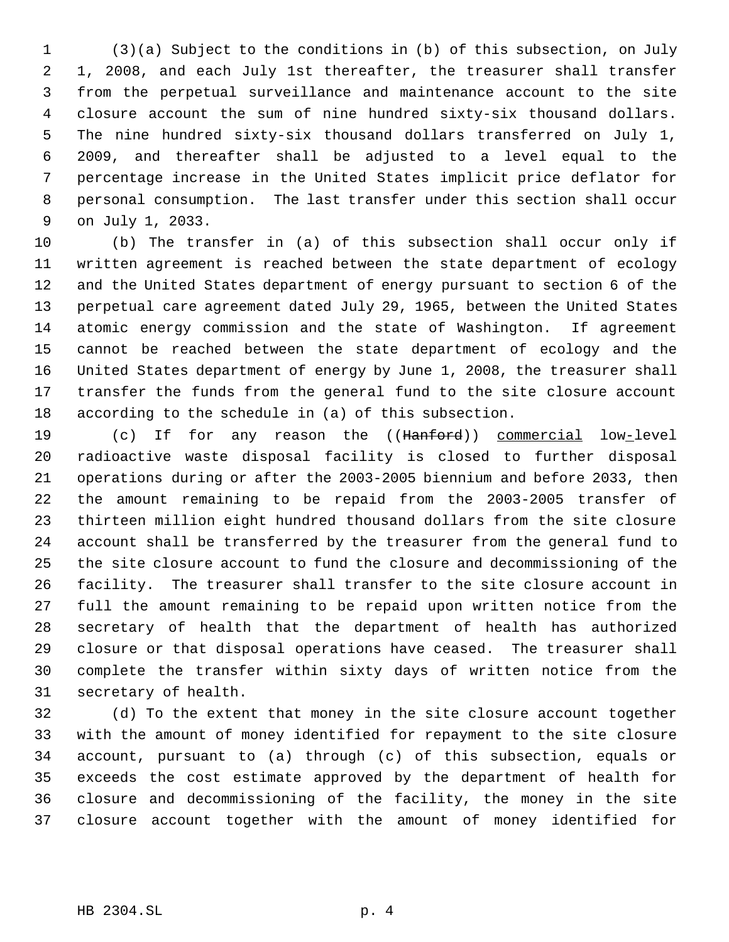(3)(a) Subject to the conditions in (b) of this subsection, on July 1, 2008, and each July 1st thereafter, the treasurer shall transfer from the perpetual surveillance and maintenance account to the site closure account the sum of nine hundred sixty-six thousand dollars. The nine hundred sixty-six thousand dollars transferred on July 1, 2009, and thereafter shall be adjusted to a level equal to the percentage increase in the United States implicit price deflator for personal consumption. The last transfer under this section shall occur on July 1, 2033.

 (b) The transfer in (a) of this subsection shall occur only if written agreement is reached between the state department of ecology and the United States department of energy pursuant to section 6 of the perpetual care agreement dated July 29, 1965, between the United States atomic energy commission and the state of Washington. If agreement cannot be reached between the state department of ecology and the United States department of energy by June 1, 2008, the treasurer shall transfer the funds from the general fund to the site closure account according to the schedule in (a) of this subsection.

19 (c) If for any reason the ((Hanford)) commercial low-level radioactive waste disposal facility is closed to further disposal operations during or after the 2003-2005 biennium and before 2033, then the amount remaining to be repaid from the 2003-2005 transfer of thirteen million eight hundred thousand dollars from the site closure account shall be transferred by the treasurer from the general fund to the site closure account to fund the closure and decommissioning of the facility. The treasurer shall transfer to the site closure account in full the amount remaining to be repaid upon written notice from the secretary of health that the department of health has authorized closure or that disposal operations have ceased. The treasurer shall complete the transfer within sixty days of written notice from the secretary of health.

 (d) To the extent that money in the site closure account together with the amount of money identified for repayment to the site closure account, pursuant to (a) through (c) of this subsection, equals or exceeds the cost estimate approved by the department of health for closure and decommissioning of the facility, the money in the site closure account together with the amount of money identified for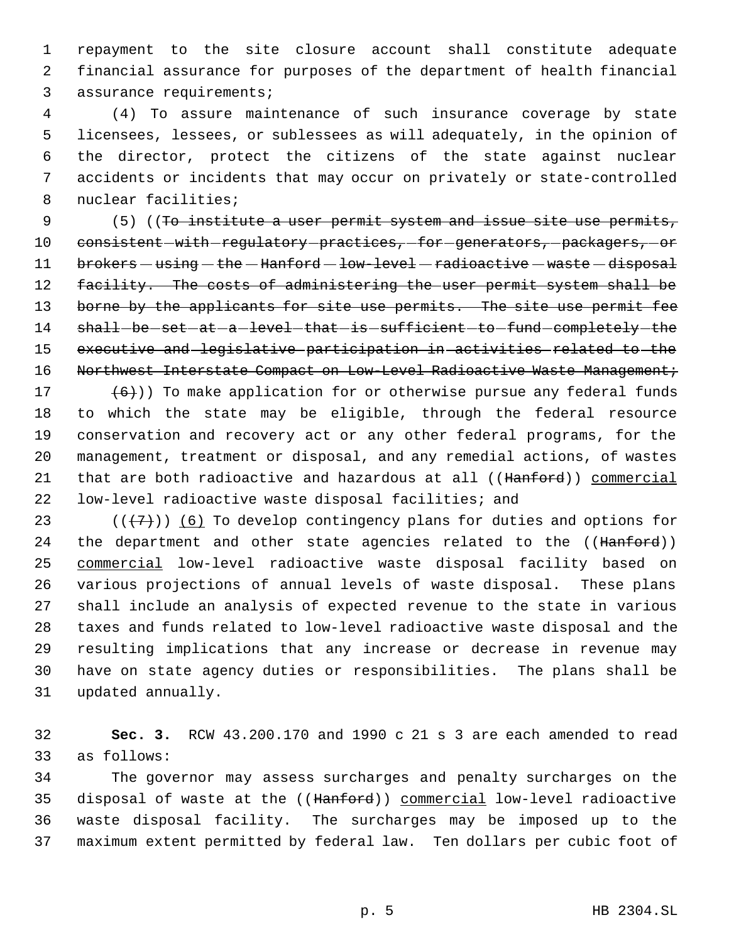repayment to the site closure account shall constitute adequate financial assurance for purposes of the department of health financial assurance requirements;

 (4) To assure maintenance of such insurance coverage by state licensees, lessees, or sublessees as will adequately, in the opinion of the director, protect the citizens of the state against nuclear accidents or incidents that may occur on privately or state-controlled nuclear facilities;

9 (5) ((To institute a user permit system and issue site use permits, 10 consistent-with-regulatory-practices,-for-generators,-packagers,-or 11 brokers - using - the - Hanford - low-level - radioactive - waste - disposal 12 facility. The costs of administering the user permit system shall be 13 borne by the applicants for site use permits. The site use permit fee 14 shall-be-set-at-a-level-that-is-sufficient-to-fund-completely-the executive and legislative participation in activities related to the 16 Northwest Interstate Compact on Low-Level Radioactive Waste Management;

 $(6)$ )) To make application for or otherwise pursue any federal funds to which the state may be eligible, through the federal resource conservation and recovery act or any other federal programs, for the management, treatment or disposal, and any remedial actions, of wastes 21 that are both radioactive and hazardous at all ((Hanford)) commercial low-level radioactive waste disposal facilities; and

23 ( $(\overline{+7})$ ) (6) To develop contingency plans for duties and options for 24 the department and other state agencies related to the ((Hanford)) commercial low-level radioactive waste disposal facility based on various projections of annual levels of waste disposal. These plans shall include an analysis of expected revenue to the state in various taxes and funds related to low-level radioactive waste disposal and the resulting implications that any increase or decrease in revenue may have on state agency duties or responsibilities. The plans shall be updated annually.

 **Sec. 3.** RCW 43.200.170 and 1990 c 21 s 3 are each amended to read as follows:

 The governor may assess surcharges and penalty surcharges on the disposal of waste at the ((Hanford)) commercial low-level radioactive waste disposal facility. The surcharges may be imposed up to the maximum extent permitted by federal law. Ten dollars per cubic foot of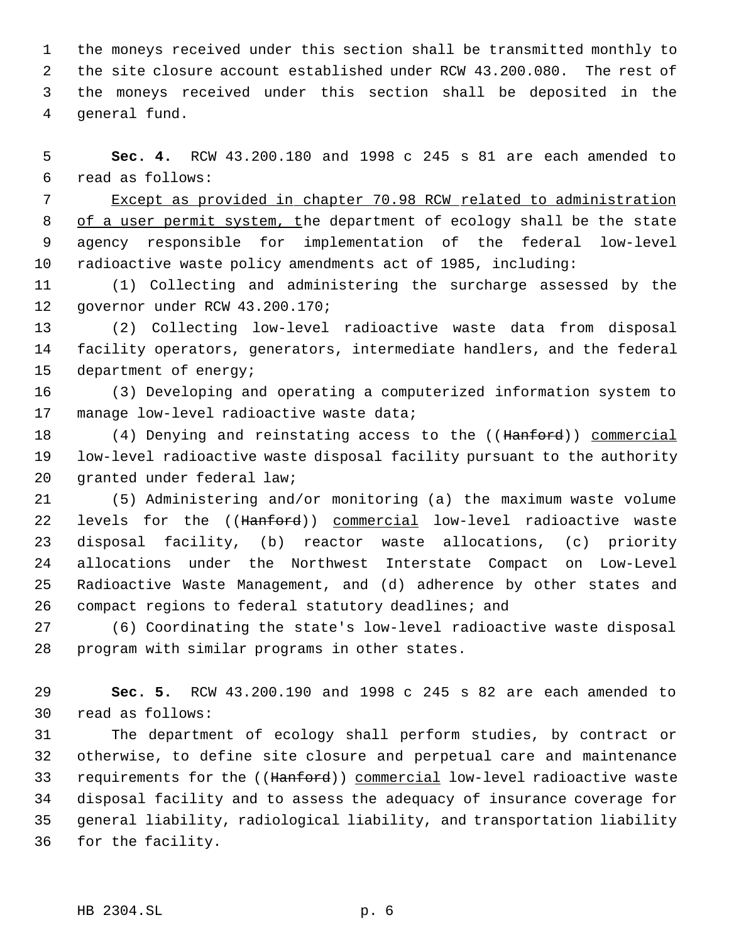the moneys received under this section shall be transmitted monthly to the site closure account established under RCW 43.200.080. The rest of the moneys received under this section shall be deposited in the general fund.

 **Sec. 4.** RCW 43.200.180 and 1998 c 245 s 81 are each amended to read as follows:

 Except as provided in chapter 70.98 RCW related to administration 8 of a user permit system, the department of ecology shall be the state agency responsible for implementation of the federal low-level radioactive waste policy amendments act of 1985, including:

 (1) Collecting and administering the surcharge assessed by the governor under RCW 43.200.170;

 (2) Collecting low-level radioactive waste data from disposal facility operators, generators, intermediate handlers, and the federal department of energy;

 (3) Developing and operating a computerized information system to 17 manage low-level radioactive waste data;

18 (4) Denying and reinstating access to the ((Hanford)) commercial low-level radioactive waste disposal facility pursuant to the authority granted under federal law;

 (5) Administering and/or monitoring (a) the maximum waste volume 22 levels for the ((Hanford)) commercial low-level radioactive waste disposal facility, (b) reactor waste allocations, (c) priority allocations under the Northwest Interstate Compact on Low-Level Radioactive Waste Management, and (d) adherence by other states and compact regions to federal statutory deadlines; and

 (6) Coordinating the state's low-level radioactive waste disposal program with similar programs in other states.

 **Sec. 5.** RCW 43.200.190 and 1998 c 245 s 82 are each amended to read as follows:

 The department of ecology shall perform studies, by contract or otherwise, to define site closure and perpetual care and maintenance 33 requirements for the ((Hanford)) commercial low-level radioactive waste disposal facility and to assess the adequacy of insurance coverage for general liability, radiological liability, and transportation liability for the facility.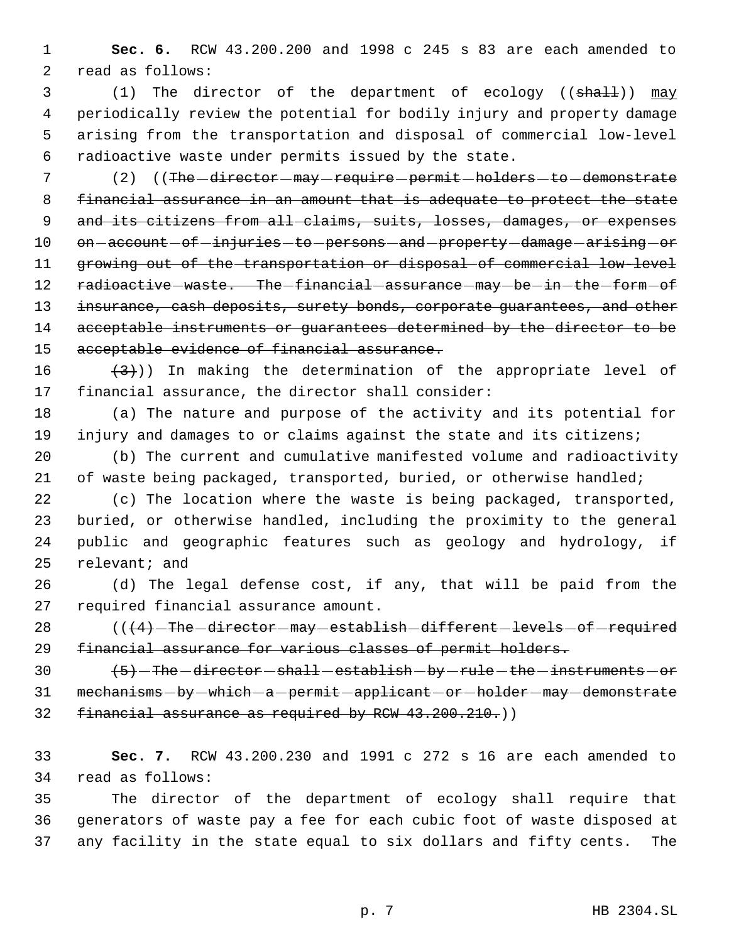**Sec. 6.** RCW 43.200.200 and 1998 c 245 s 83 are each amended to read as follows:

3 (1) The director of the department of ecology ((shall)) may periodically review the potential for bodily injury and property damage arising from the transportation and disposal of commercial low-level radioactive waste under permits issued by the state.

7 (2) ((The -director - may - require - permit - holders - to - demonstrate financial assurance in an amount that is adequate to protect the state 9 and its citizens from all-claims, suits, losses, damages, or expenses 10 on-account-of-injuries-to-persons-and-property-damage-arising-or growing out of the transportation or disposal of commercial low-level 12 radioactive waste. The financial assurance may be in the form of 13 insurance, cash deposits, surety bonds, corporate guarantees, and other 14 acceptable instruments or guarantees determined by the director to be 15 acceptable evidence of financial assurance.

16  $(3)$ )) In making the determination of the appropriate level of financial assurance, the director shall consider:

 (a) The nature and purpose of the activity and its potential for injury and damages to or claims against the state and its citizens;

 (b) The current and cumulative manifested volume and radioactivity 21 of waste being packaged, transported, buried, or otherwise handled;

 (c) The location where the waste is being packaged, transported, buried, or otherwise handled, including the proximity to the general public and geographic features such as geology and hydrology, if relevant; and

 (d) The legal defense cost, if any, that will be paid from the required financial assurance amount.

28 (((4) The director may establish different levels of required financial assurance for various classes of permit holders.

 $(5)$  -The -director -shall -establish -by -rule - the -instruments -or 31 mechanisms - by - which - a - permit - applicant - or - holder - may - demonstrate financial assurance as required by RCW 43.200.210.))

 **Sec. 7.** RCW 43.200.230 and 1991 c 272 s 16 are each amended to read as follows:

 The director of the department of ecology shall require that generators of waste pay a fee for each cubic foot of waste disposed at any facility in the state equal to six dollars and fifty cents. The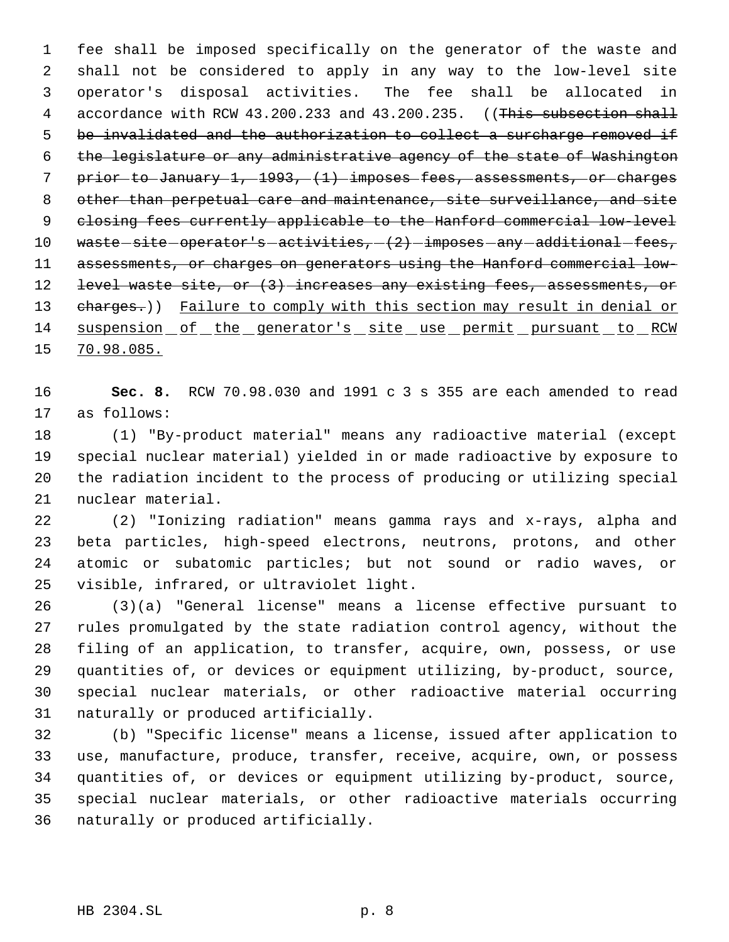fee shall be imposed specifically on the generator of the waste and shall not be considered to apply in any way to the low-level site operator's disposal activities. The fee shall be allocated in 4 accordance with RCW 43.200.233 and 43.200.235. ((This subsection shall 5 be invalidated and the authorization to collect a surcharge removed if the legislature or any administrative agency of the state of Washington prior to January 1, 1993, (1) imposes fees, assessments, or charges other than perpetual care and maintenance, site surveillance, and site closing fees currently applicable to the Hanford commercial low-level 10 waste-site-operator's-activities,  $(2)$ -imposes-any-additional-fees, assessments, or charges on generators using the Hanford commercial low-12 level waste site, or (3) increases any existing fees, assessments, or 13 eharges.)) Failure to comply with this section may result in denial or suspension of the generator's site use permit pursuant to RCW 70.98.085.

 **Sec. 8.** RCW 70.98.030 and 1991 c 3 s 355 are each amended to read as follows:

 (1) "By-product material" means any radioactive material (except special nuclear material) yielded in or made radioactive by exposure to the radiation incident to the process of producing or utilizing special nuclear material.

 (2) "Ionizing radiation" means gamma rays and x-rays, alpha and beta particles, high-speed electrons, neutrons, protons, and other atomic or subatomic particles; but not sound or radio waves, or visible, infrared, or ultraviolet light.

 (3)(a) "General license" means a license effective pursuant to rules promulgated by the state radiation control agency, without the filing of an application, to transfer, acquire, own, possess, or use quantities of, or devices or equipment utilizing, by-product, source, special nuclear materials, or other radioactive material occurring naturally or produced artificially.

 (b) "Specific license" means a license, issued after application to use, manufacture, produce, transfer, receive, acquire, own, or possess quantities of, or devices or equipment utilizing by-product, source, special nuclear materials, or other radioactive materials occurring naturally or produced artificially.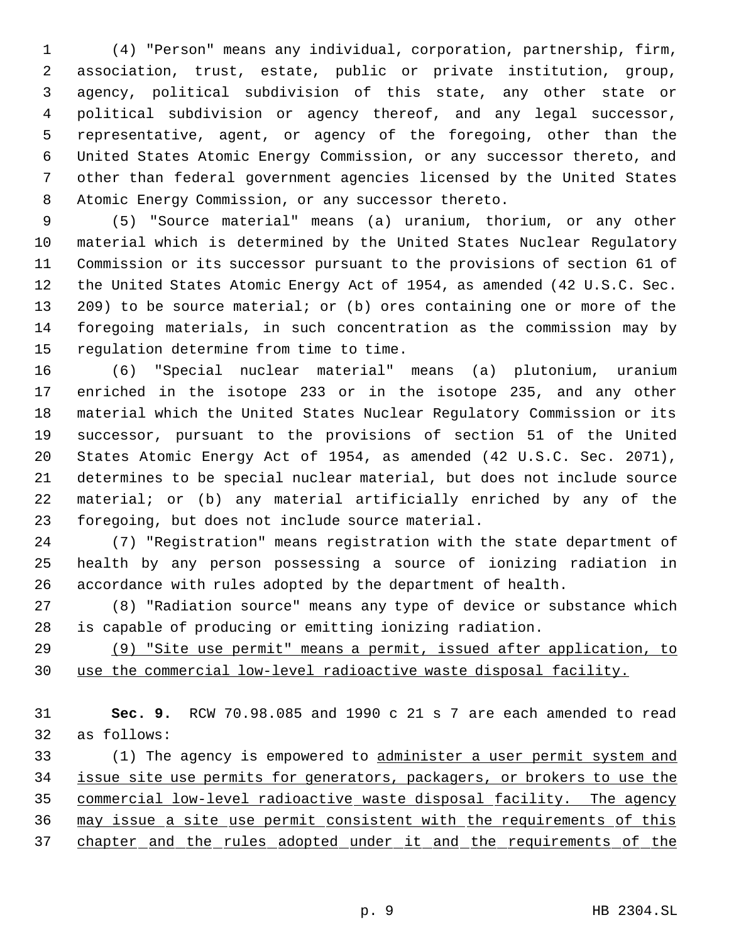(4) "Person" means any individual, corporation, partnership, firm, association, trust, estate, public or private institution, group, agency, political subdivision of this state, any other state or political subdivision or agency thereof, and any legal successor, representative, agent, or agency of the foregoing, other than the United States Atomic Energy Commission, or any successor thereto, and other than federal government agencies licensed by the United States Atomic Energy Commission, or any successor thereto.

 (5) "Source material" means (a) uranium, thorium, or any other material which is determined by the United States Nuclear Regulatory Commission or its successor pursuant to the provisions of section 61 of the United States Atomic Energy Act of 1954, as amended (42 U.S.C. Sec. 209) to be source material; or (b) ores containing one or more of the foregoing materials, in such concentration as the commission may by regulation determine from time to time.

 (6) "Special nuclear material" means (a) plutonium, uranium enriched in the isotope 233 or in the isotope 235, and any other material which the United States Nuclear Regulatory Commission or its successor, pursuant to the provisions of section 51 of the United States Atomic Energy Act of 1954, as amended (42 U.S.C. Sec. 2071), determines to be special nuclear material, but does not include source material; or (b) any material artificially enriched by any of the foregoing, but does not include source material.

 (7) "Registration" means registration with the state department of health by any person possessing a source of ionizing radiation in accordance with rules adopted by the department of health.

 (8) "Radiation source" means any type of device or substance which is capable of producing or emitting ionizing radiation.

 (9) "Site use permit" means a permit, issued after application, to use the commercial low-level radioactive waste disposal facility.

 **Sec. 9.** RCW 70.98.085 and 1990 c 21 s 7 are each amended to read as follows:

33 (1) The agency is empowered to administer a user permit system and issue site use permits for generators, packagers, or brokers to use the commercial low-level radioactive waste disposal facility. The agency may issue a site use permit consistent with the requirements of this chapter and the rules adopted under it and the requirements of the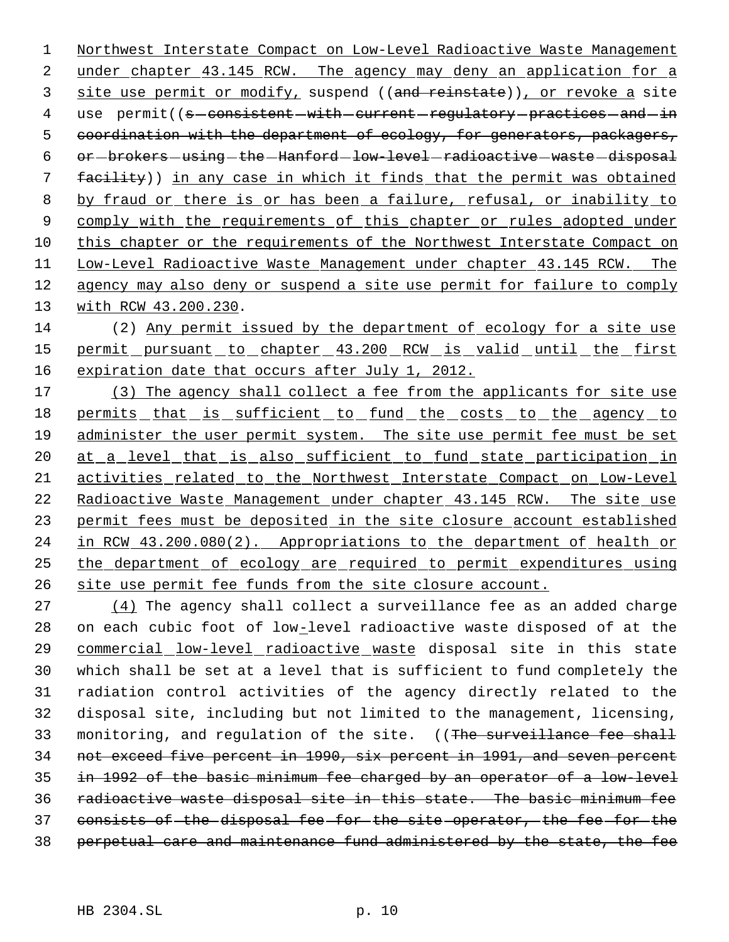Northwest Interstate Compact on Low-Level Radioactive Waste Management 2 under chapter 43.145 RCW. The agency may deny an application for a 3 site use permit or modify, suspend ((and reinstate)), or revoke a site 4 use permit((s-consistent-with-current-regulatory-practices-and-in 5 coordination with the department of ecology, for generators, packagers, 6 or-brokers-using-the-Hanford-low-level-radioactive-waste-disposal facility)) in any case in which it finds that the permit was obtained by fraud or there is or has been a failure, refusal, or inability to 9 comply with the requirements of this chapter or rules adopted under this chapter or the requirements of the Northwest Interstate Compact on Low-Level Radioactive Waste Management under chapter 43.145 RCW. The agency may also deny or suspend a site use permit for failure to comply with RCW 43.200.230.

 (2) Any permit issued by the department of ecology for a site use 15 permit pursuant to chapter 43.200 RCW is valid until the first 16 expiration date that occurs after July 1, 2012.

 (3) The agency shall collect a fee from the applicants for site use 18 permits that is sufficient to fund the costs to the agency to administer the user permit system. The site use permit fee must be set 20 at a level that is also sufficient to fund state participation in activities related to the Northwest Interstate Compact on Low-Level 22 Radioactive Waste Management under chapter 43.145 RCW. The site use permit fees must be deposited in the site closure account established in RCW 43.200.080(2). Appropriations to the department of health or the department of ecology are required to permit expenditures using site use permit fee funds from the site closure account.

 $(4)$  The agency shall collect a surveillance fee as an added charge 28 on each cubic foot of low-level radioactive waste disposed of at the commercial low-level radioactive waste disposal site in this state which shall be set at a level that is sufficient to fund completely the radiation control activities of the agency directly related to the disposal site, including but not limited to the management, licensing, 33 monitoring, and requlation of the site. ((The surveillance fee shall not exceed five percent in 1990, six percent in 1991, and seven percent in 1992 of the basic minimum fee charged by an operator of a low-level radioactive waste disposal site in this state. The basic minimum fee consists of the disposal fee for the site operator, the fee for the perpetual care and maintenance fund administered by the state, the fee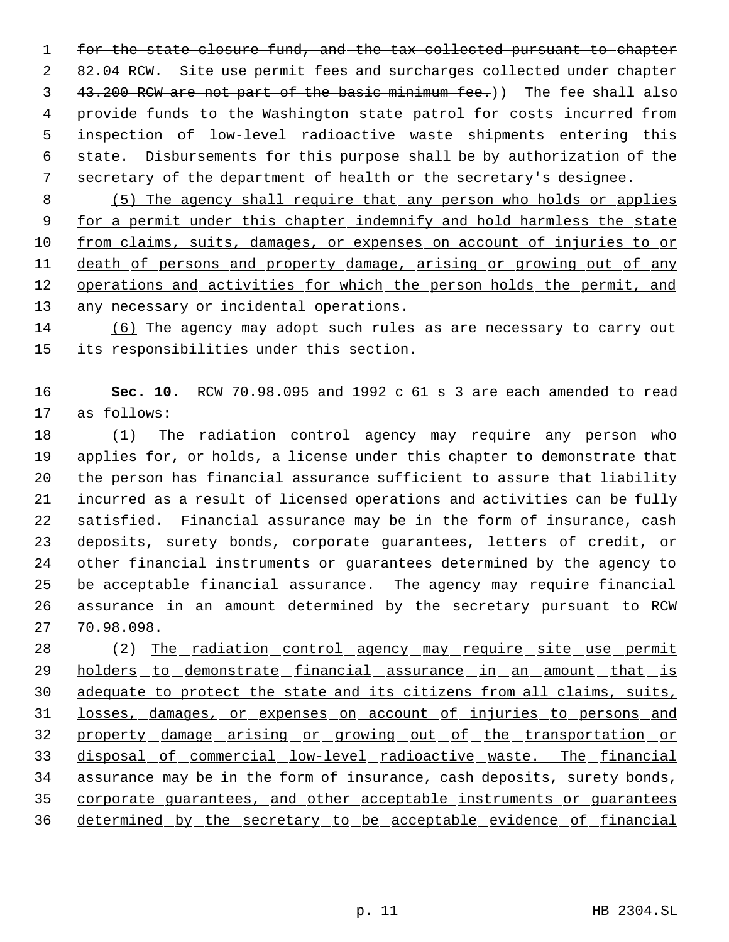for the state closure fund, and the tax collected pursuant to chapter 2 82.04 RCW. Site use permit fees and surcharges collected under chapter 3 43.200 RCW are not part of the basic minimum fee.)) The fee shall also provide funds to the Washington state patrol for costs incurred from inspection of low-level radioactive waste shipments entering this state. Disbursements for this purpose shall be by authorization of the secretary of the department of health or the secretary's designee.

 (5) The agency shall require that any person who holds or applies 9 for a permit under this chapter indemnify and hold harmless the state from claims, suits, damages, or expenses on account of injuries to or 11 death of persons and property damage, arising or growing out of any 12 operations and activities for which the person holds the permit, and 13 any necessary or incidental operations.

 (6) The agency may adopt such rules as are necessary to carry out its responsibilities under this section.

 **Sec. 10.** RCW 70.98.095 and 1992 c 61 s 3 are each amended to read as follows:

 (1) The radiation control agency may require any person who applies for, or holds, a license under this chapter to demonstrate that the person has financial assurance sufficient to assure that liability incurred as a result of licensed operations and activities can be fully satisfied. Financial assurance may be in the form of insurance, cash deposits, surety bonds, corporate guarantees, letters of credit, or other financial instruments or guarantees determined by the agency to be acceptable financial assurance. The agency may require financial assurance in an amount determined by the secretary pursuant to RCW 70.98.098.

28 (2) The radiation control agency may require site use permit 29 holders to demonstrate financial assurance in an amount that is 30 adequate to protect the state and its citizens from all claims, suits, losses, damages, or expenses on account of injuries to persons and 32 property damage arising or growing out of the transportation or disposal of commercial low-level radioactive waste. The financial 34 assurance may be in the form of insurance, cash deposits, surety bonds, corporate guarantees, and other acceptable instruments or guarantees determined by the secretary to be acceptable evidence of financial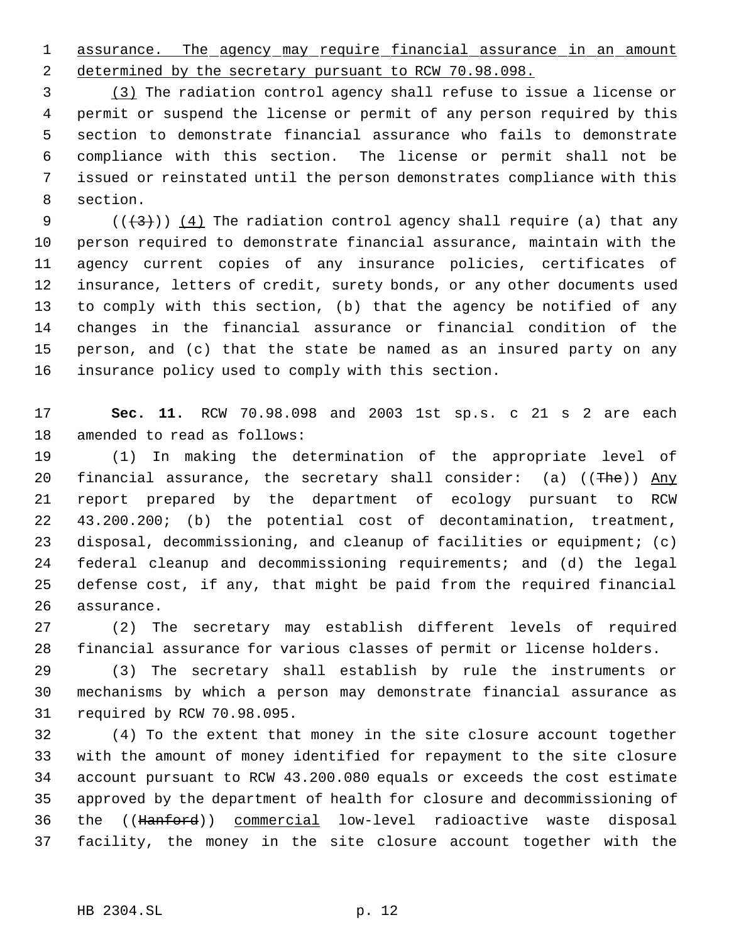1 assurance. The agency may require financial assurance in an amount 2 determined by the secretary pursuant to RCW 70.98.098.

 (3) The radiation control agency shall refuse to issue a license or permit or suspend the license or permit of any person required by this section to demonstrate financial assurance who fails to demonstrate compliance with this section. The license or permit shall not be issued or reinstated until the person demonstrates compliance with this section.

9 ( $(\frac{43}{})$ ) (4) The radiation control agency shall require (a) that any person required to demonstrate financial assurance, maintain with the agency current copies of any insurance policies, certificates of insurance, letters of credit, surety bonds, or any other documents used to comply with this section, (b) that the agency be notified of any changes in the financial assurance or financial condition of the person, and (c) that the state be named as an insured party on any insurance policy used to comply with this section.

 **Sec. 11.** RCW 70.98.098 and 2003 1st sp.s. c 21 s 2 are each amended to read as follows:

 (1) In making the determination of the appropriate level of 20 financial assurance, the secretary shall consider: (a)  $((The))$  Any report prepared by the department of ecology pursuant to RCW 43.200.200; (b) the potential cost of decontamination, treatment, disposal, decommissioning, and cleanup of facilities or equipment; (c) federal cleanup and decommissioning requirements; and (d) the legal defense cost, if any, that might be paid from the required financial assurance.

 (2) The secretary may establish different levels of required financial assurance for various classes of permit or license holders.

 (3) The secretary shall establish by rule the instruments or mechanisms by which a person may demonstrate financial assurance as required by RCW 70.98.095.

 (4) To the extent that money in the site closure account together with the amount of money identified for repayment to the site closure account pursuant to RCW 43.200.080 equals or exceeds the cost estimate approved by the department of health for closure and decommissioning of the ((Hanford)) commercial low-level radioactive waste disposal facility, the money in the site closure account together with the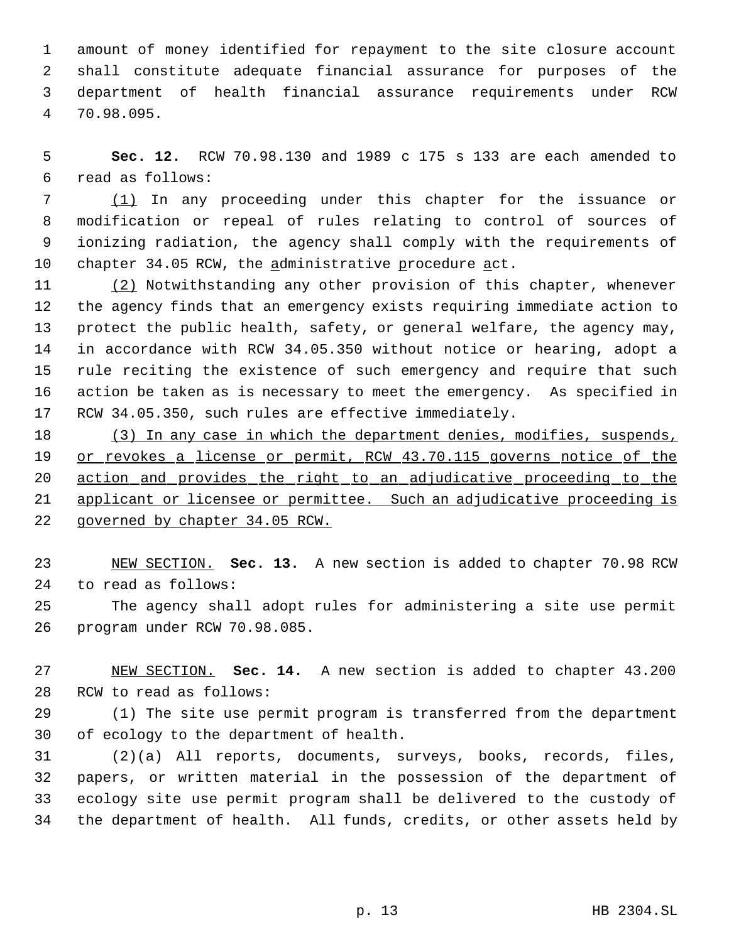amount of money identified for repayment to the site closure account shall constitute adequate financial assurance for purposes of the department of health financial assurance requirements under RCW 70.98.095.

 **Sec. 12.** RCW 70.98.130 and 1989 c 175 s 133 are each amended to read as follows:

 (1) In any proceeding under this chapter for the issuance or modification or repeal of rules relating to control of sources of ionizing radiation, the agency shall comply with the requirements of chapter 34.05 RCW, the administrative procedure act.

 (2) Notwithstanding any other provision of this chapter, whenever the agency finds that an emergency exists requiring immediate action to protect the public health, safety, or general welfare, the agency may, in accordance with RCW 34.05.350 without notice or hearing, adopt a rule reciting the existence of such emergency and require that such action be taken as is necessary to meet the emergency. As specified in RCW 34.05.350, such rules are effective immediately.

18 (3) In any case in which the department denies, modifies, suspends, 19 or revokes a license or permit, RCW 43.70.115 governs notice of the action and provides the right to an adjudicative proceeding to the applicant or licensee or permittee. Such an adjudicative proceeding is governed by chapter 34.05 RCW.

 NEW SECTION. **Sec. 13.** A new section is added to chapter 70.98 RCW to read as follows:

 The agency shall adopt rules for administering a site use permit program under RCW 70.98.085.

 NEW SECTION. **Sec. 14.** A new section is added to chapter 43.200 RCW to read as follows:

 (1) The site use permit program is transferred from the department of ecology to the department of health.

 (2)(a) All reports, documents, surveys, books, records, files, papers, or written material in the possession of the department of ecology site use permit program shall be delivered to the custody of the department of health. All funds, credits, or other assets held by